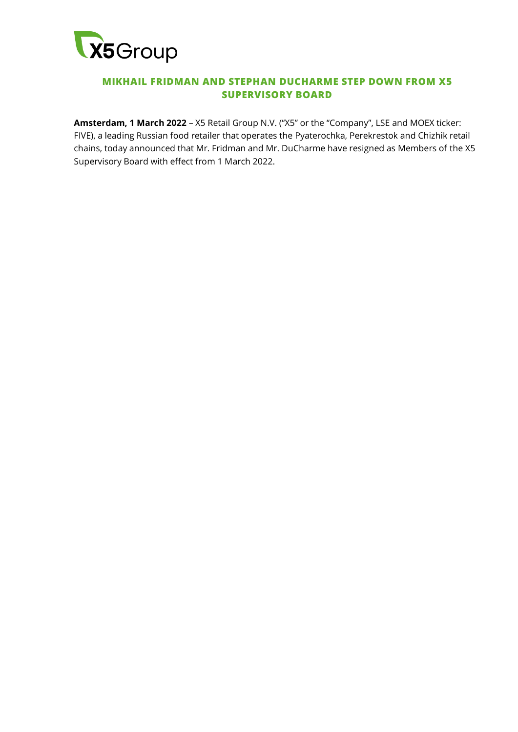

## **MIKHAIL FRIDMAN AND STEPHAN DUCHARME STEP DOWN FROM X5 SUPERVISORY BOARD**

**Amsterdam, 1 March 2022** – X5 Retail Group N.V. ("X5" or the "Company", LSE and MOEX ticker: FIVE), a leading Russian food retailer that operates the Pyaterochka, Perekrestok and Chizhik retail chains, today announced that Mr. Fridman and Mr. DuCharme have resigned as Members of the X5 Supervisory Board with effect from 1 March 2022.